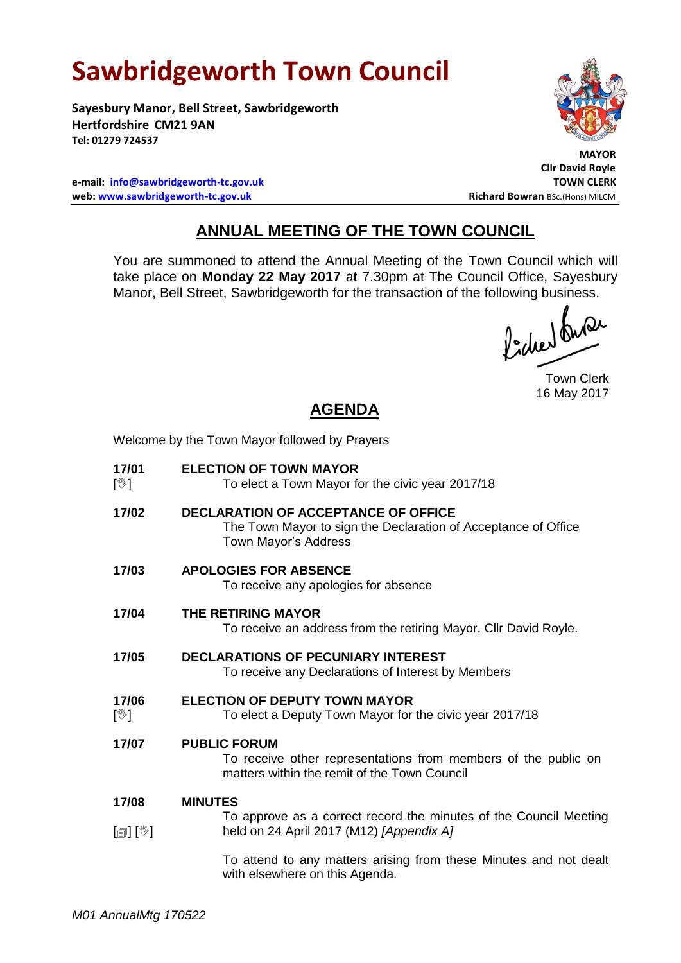# **Sawbridgeworth Town Council**

Welcome by the Town Mayor followed by Prayers

**Sayesbury Manor, Bell Street, Sawbridgeworth Hertfordshire CM21 9AN Tel: 01279 724537**

**e-mail: [info@sawbridgeworth-tc.gov.uk](mailto:info@sawbridgeworth-tc.gov.uk) TOWN CLERK web: www.sawbridgeworth-tc.gov.uk Richard Bowran BSc.(Hons) MILCM Richard Bowran BSc.(Hons) MILCM** 

 **MAYOR Cllr David Royle**

### **ANNUAL MEETING OF THE TOWN COUNCIL**

You are summoned to attend the Annual Meeting of the Town Council which will take place on **Monday 22 May 2017** at 7.30pm at The Council Office, Sayesbury Manor, Bell Street, Sawbridgeworth for the transaction of the following business.<br>  $\int_{1}^{1} \int \mathbf{M} \mathbf{M}$ 

Town Clerk 16 May 2017

## **AGENDA**

| 17/01<br>$\mathbb{N}$      | <b>ELECTION OF TOWN MAYOR</b><br>To elect a Town Mayor for the civic year 2017/18                                                     |
|----------------------------|---------------------------------------------------------------------------------------------------------------------------------------|
| 17/02                      | <b>DECLARATION OF ACCEPTANCE OF OFFICE</b><br>The Town Mayor to sign the Declaration of Acceptance of Office<br>Town Mayor's Address  |
| 17/03                      | <b>APOLOGIES FOR ABSENCE</b><br>To receive any apologies for absence                                                                  |
| 17/04                      | THE RETIRING MAYOR<br>To receive an address from the retiring Mayor, Cllr David Royle.                                                |
| 17/05                      | <b>DECLARATIONS OF PECUNIARY INTEREST</b><br>To receive any Declarations of Interest by Members                                       |
| 17/06<br>$\mathbb{N}$      | <b>ELECTION OF DEPUTY TOWN MAYOR</b><br>To elect a Deputy Town Mayor for the civic year 2017/18                                       |
| 17/07                      | <b>PUBLIC FORUM</b><br>To receive other representations from members of the public on<br>matters within the remit of the Town Council |
| 17/08                      | <b>MINUTES</b>                                                                                                                        |
| $\mathbb{D}[\mathbb{D}^1]$ | To approve as a correct record the minutes of the Council Meeting<br>held on 24 April 2017 (M12) [Appendix A]                         |
|                            | To attend to any matters arising from these Minutes and not dealt<br>with elsewhere on this Agenda.                                   |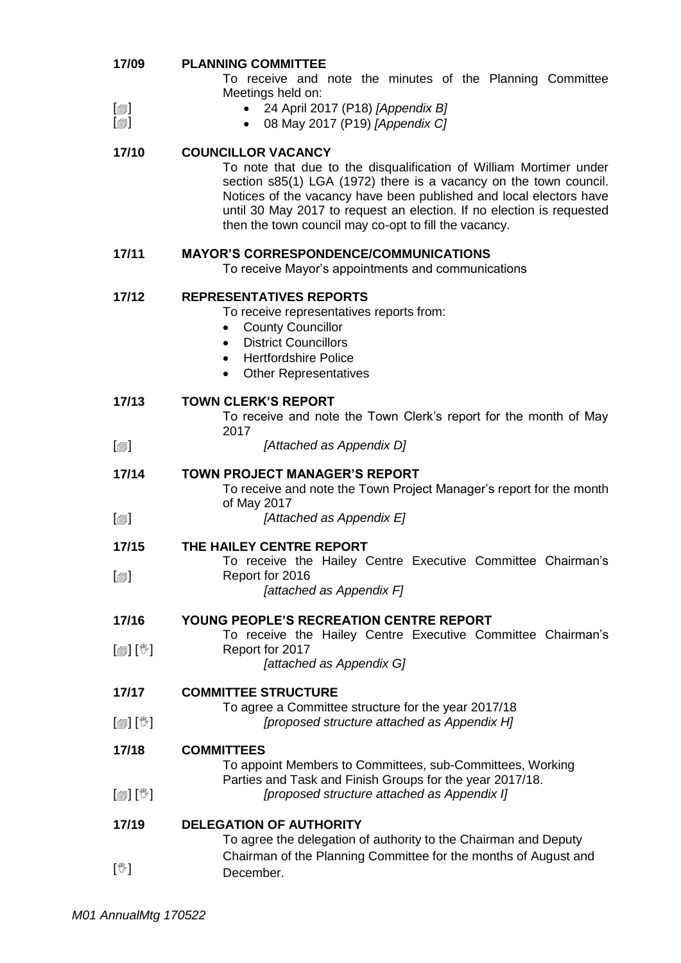| To receive and note the minutes of the Planning Committee<br>Meetings held on:<br>24 April 2017 (P18) [Appendix B]<br>$\lbrack \oplus \rbrack$<br>$\lbrack \circledcirc \rbrack$<br>08 May 2017 (P19) [Appendix C]<br>17/10<br><b>COUNCILLOR VACANCY</b><br>To note that due to the disqualification of William Mortimer under<br>section s85(1) LGA (1972) there is a vacancy on the town council.<br>Notices of the vacancy have been published and local electors have<br>until 30 May 2017 to request an election. If no election is requested<br>then the town council may co-opt to fill the vacancy.<br>17/11<br><b>MAYOR'S CORRESPONDENCE/COMMUNICATIONS</b><br>To receive Mayor's appointments and communications<br>17/12<br><b>REPRESENTATIVES REPORTS</b><br>To receive representatives reports from:<br><b>County Councillor</b><br><b>District Councillors</b><br>٠<br><b>Hertfordshire Police</b><br>$\bullet$<br><b>Other Representatives</b><br><b>TOWN CLERK'S REPORT</b><br>17/13<br>To receive and note the Town Clerk's report for the month of May<br>2017<br>[Attached as Appendix D]<br>$\lbrack \blacksquare \rbrack$<br><b>TOWN PROJECT MANAGER'S REPORT</b><br>17/14<br>To receive and note the Town Project Manager's report for the month<br>of May 2017<br>[Attached as Appendix E]<br>$[\blacksquare]$<br>17/15<br>THE HAILEY CENTRE REPORT<br>To receive the Hailey Centre Executive Committee Chairman's<br>$\textsf{[}$<br>Report for 2016<br>[attached as Appendix F]<br>17/16<br><b>YOUNG PEOPLE'S RECREATION CENTRE REPORT</b><br>To receive the Hailey Centre Executive Committee Chairman's<br>$\mathbb{D}[\mathbb{D}^1]$<br>Report for 2017<br>[attached as Appendix G]<br><b>COMMITTEE STRUCTURE</b><br>17/17<br>To agree a Committee structure for the year 2017/18<br>[proposed structure attached as Appendix H]<br>$\mathbb{D}[\mathbb{D}^1]$<br>17/18<br><b>COMMITTEES</b><br>To appoint Members to Committees, sub-Committees, Working<br>Parties and Task and Finish Groups for the year 2017/18.<br>$\mathbb{D}[\mathbb{D}^1]$<br>[proposed structure attached as Appendix I]<br><b>DELEGATION OF AUTHORITY</b><br>17/19<br>To agree the delegation of authority to the Chairman and Deputy<br>Chairman of the Planning Committee for the months of August and<br>$[\mathbb{V}]$<br>December. | 17/09 | <b>PLANNING COMMITTEE</b> |
|------------------------------------------------------------------------------------------------------------------------------------------------------------------------------------------------------------------------------------------------------------------------------------------------------------------------------------------------------------------------------------------------------------------------------------------------------------------------------------------------------------------------------------------------------------------------------------------------------------------------------------------------------------------------------------------------------------------------------------------------------------------------------------------------------------------------------------------------------------------------------------------------------------------------------------------------------------------------------------------------------------------------------------------------------------------------------------------------------------------------------------------------------------------------------------------------------------------------------------------------------------------------------------------------------------------------------------------------------------------------------------------------------------------------------------------------------------------------------------------------------------------------------------------------------------------------------------------------------------------------------------------------------------------------------------------------------------------------------------------------------------------------------------------------------------------------------------------------------------------------------------------------------------------------------------------------------------------------------------------------------------------------------------------------------------------------------------------------------------------------------------------------------------------------------------------------------------------------------------------------------------------------------------------------------------------------------------------------|-------|---------------------------|
|                                                                                                                                                                                                                                                                                                                                                                                                                                                                                                                                                                                                                                                                                                                                                                                                                                                                                                                                                                                                                                                                                                                                                                                                                                                                                                                                                                                                                                                                                                                                                                                                                                                                                                                                                                                                                                                                                                                                                                                                                                                                                                                                                                                                                                                                                                                                                |       |                           |
|                                                                                                                                                                                                                                                                                                                                                                                                                                                                                                                                                                                                                                                                                                                                                                                                                                                                                                                                                                                                                                                                                                                                                                                                                                                                                                                                                                                                                                                                                                                                                                                                                                                                                                                                                                                                                                                                                                                                                                                                                                                                                                                                                                                                                                                                                                                                                |       |                           |
|                                                                                                                                                                                                                                                                                                                                                                                                                                                                                                                                                                                                                                                                                                                                                                                                                                                                                                                                                                                                                                                                                                                                                                                                                                                                                                                                                                                                                                                                                                                                                                                                                                                                                                                                                                                                                                                                                                                                                                                                                                                                                                                                                                                                                                                                                                                                                |       |                           |
|                                                                                                                                                                                                                                                                                                                                                                                                                                                                                                                                                                                                                                                                                                                                                                                                                                                                                                                                                                                                                                                                                                                                                                                                                                                                                                                                                                                                                                                                                                                                                                                                                                                                                                                                                                                                                                                                                                                                                                                                                                                                                                                                                                                                                                                                                                                                                |       |                           |
|                                                                                                                                                                                                                                                                                                                                                                                                                                                                                                                                                                                                                                                                                                                                                                                                                                                                                                                                                                                                                                                                                                                                                                                                                                                                                                                                                                                                                                                                                                                                                                                                                                                                                                                                                                                                                                                                                                                                                                                                                                                                                                                                                                                                                                                                                                                                                |       |                           |
|                                                                                                                                                                                                                                                                                                                                                                                                                                                                                                                                                                                                                                                                                                                                                                                                                                                                                                                                                                                                                                                                                                                                                                                                                                                                                                                                                                                                                                                                                                                                                                                                                                                                                                                                                                                                                                                                                                                                                                                                                                                                                                                                                                                                                                                                                                                                                |       |                           |
|                                                                                                                                                                                                                                                                                                                                                                                                                                                                                                                                                                                                                                                                                                                                                                                                                                                                                                                                                                                                                                                                                                                                                                                                                                                                                                                                                                                                                                                                                                                                                                                                                                                                                                                                                                                                                                                                                                                                                                                                                                                                                                                                                                                                                                                                                                                                                |       |                           |
|                                                                                                                                                                                                                                                                                                                                                                                                                                                                                                                                                                                                                                                                                                                                                                                                                                                                                                                                                                                                                                                                                                                                                                                                                                                                                                                                                                                                                                                                                                                                                                                                                                                                                                                                                                                                                                                                                                                                                                                                                                                                                                                                                                                                                                                                                                                                                |       |                           |
|                                                                                                                                                                                                                                                                                                                                                                                                                                                                                                                                                                                                                                                                                                                                                                                                                                                                                                                                                                                                                                                                                                                                                                                                                                                                                                                                                                                                                                                                                                                                                                                                                                                                                                                                                                                                                                                                                                                                                                                                                                                                                                                                                                                                                                                                                                                                                |       |                           |
|                                                                                                                                                                                                                                                                                                                                                                                                                                                                                                                                                                                                                                                                                                                                                                                                                                                                                                                                                                                                                                                                                                                                                                                                                                                                                                                                                                                                                                                                                                                                                                                                                                                                                                                                                                                                                                                                                                                                                                                                                                                                                                                                                                                                                                                                                                                                                |       |                           |
|                                                                                                                                                                                                                                                                                                                                                                                                                                                                                                                                                                                                                                                                                                                                                                                                                                                                                                                                                                                                                                                                                                                                                                                                                                                                                                                                                                                                                                                                                                                                                                                                                                                                                                                                                                                                                                                                                                                                                                                                                                                                                                                                                                                                                                                                                                                                                |       |                           |
|                                                                                                                                                                                                                                                                                                                                                                                                                                                                                                                                                                                                                                                                                                                                                                                                                                                                                                                                                                                                                                                                                                                                                                                                                                                                                                                                                                                                                                                                                                                                                                                                                                                                                                                                                                                                                                                                                                                                                                                                                                                                                                                                                                                                                                                                                                                                                |       |                           |
|                                                                                                                                                                                                                                                                                                                                                                                                                                                                                                                                                                                                                                                                                                                                                                                                                                                                                                                                                                                                                                                                                                                                                                                                                                                                                                                                                                                                                                                                                                                                                                                                                                                                                                                                                                                                                                                                                                                                                                                                                                                                                                                                                                                                                                                                                                                                                |       |                           |
|                                                                                                                                                                                                                                                                                                                                                                                                                                                                                                                                                                                                                                                                                                                                                                                                                                                                                                                                                                                                                                                                                                                                                                                                                                                                                                                                                                                                                                                                                                                                                                                                                                                                                                                                                                                                                                                                                                                                                                                                                                                                                                                                                                                                                                                                                                                                                |       |                           |
|                                                                                                                                                                                                                                                                                                                                                                                                                                                                                                                                                                                                                                                                                                                                                                                                                                                                                                                                                                                                                                                                                                                                                                                                                                                                                                                                                                                                                                                                                                                                                                                                                                                                                                                                                                                                                                                                                                                                                                                                                                                                                                                                                                                                                                                                                                                                                |       |                           |
|                                                                                                                                                                                                                                                                                                                                                                                                                                                                                                                                                                                                                                                                                                                                                                                                                                                                                                                                                                                                                                                                                                                                                                                                                                                                                                                                                                                                                                                                                                                                                                                                                                                                                                                                                                                                                                                                                                                                                                                                                                                                                                                                                                                                                                                                                                                                                |       |                           |
|                                                                                                                                                                                                                                                                                                                                                                                                                                                                                                                                                                                                                                                                                                                                                                                                                                                                                                                                                                                                                                                                                                                                                                                                                                                                                                                                                                                                                                                                                                                                                                                                                                                                                                                                                                                                                                                                                                                                                                                                                                                                                                                                                                                                                                                                                                                                                |       |                           |
|                                                                                                                                                                                                                                                                                                                                                                                                                                                                                                                                                                                                                                                                                                                                                                                                                                                                                                                                                                                                                                                                                                                                                                                                                                                                                                                                                                                                                                                                                                                                                                                                                                                                                                                                                                                                                                                                                                                                                                                                                                                                                                                                                                                                                                                                                                                                                |       |                           |
|                                                                                                                                                                                                                                                                                                                                                                                                                                                                                                                                                                                                                                                                                                                                                                                                                                                                                                                                                                                                                                                                                                                                                                                                                                                                                                                                                                                                                                                                                                                                                                                                                                                                                                                                                                                                                                                                                                                                                                                                                                                                                                                                                                                                                                                                                                                                                |       |                           |
|                                                                                                                                                                                                                                                                                                                                                                                                                                                                                                                                                                                                                                                                                                                                                                                                                                                                                                                                                                                                                                                                                                                                                                                                                                                                                                                                                                                                                                                                                                                                                                                                                                                                                                                                                                                                                                                                                                                                                                                                                                                                                                                                                                                                                                                                                                                                                |       |                           |
|                                                                                                                                                                                                                                                                                                                                                                                                                                                                                                                                                                                                                                                                                                                                                                                                                                                                                                                                                                                                                                                                                                                                                                                                                                                                                                                                                                                                                                                                                                                                                                                                                                                                                                                                                                                                                                                                                                                                                                                                                                                                                                                                                                                                                                                                                                                                                |       |                           |
|                                                                                                                                                                                                                                                                                                                                                                                                                                                                                                                                                                                                                                                                                                                                                                                                                                                                                                                                                                                                                                                                                                                                                                                                                                                                                                                                                                                                                                                                                                                                                                                                                                                                                                                                                                                                                                                                                                                                                                                                                                                                                                                                                                                                                                                                                                                                                |       |                           |
|                                                                                                                                                                                                                                                                                                                                                                                                                                                                                                                                                                                                                                                                                                                                                                                                                                                                                                                                                                                                                                                                                                                                                                                                                                                                                                                                                                                                                                                                                                                                                                                                                                                                                                                                                                                                                                                                                                                                                                                                                                                                                                                                                                                                                                                                                                                                                |       |                           |
|                                                                                                                                                                                                                                                                                                                                                                                                                                                                                                                                                                                                                                                                                                                                                                                                                                                                                                                                                                                                                                                                                                                                                                                                                                                                                                                                                                                                                                                                                                                                                                                                                                                                                                                                                                                                                                                                                                                                                                                                                                                                                                                                                                                                                                                                                                                                                |       |                           |
|                                                                                                                                                                                                                                                                                                                                                                                                                                                                                                                                                                                                                                                                                                                                                                                                                                                                                                                                                                                                                                                                                                                                                                                                                                                                                                                                                                                                                                                                                                                                                                                                                                                                                                                                                                                                                                                                                                                                                                                                                                                                                                                                                                                                                                                                                                                                                |       |                           |
|                                                                                                                                                                                                                                                                                                                                                                                                                                                                                                                                                                                                                                                                                                                                                                                                                                                                                                                                                                                                                                                                                                                                                                                                                                                                                                                                                                                                                                                                                                                                                                                                                                                                                                                                                                                                                                                                                                                                                                                                                                                                                                                                                                                                                                                                                                                                                |       |                           |
|                                                                                                                                                                                                                                                                                                                                                                                                                                                                                                                                                                                                                                                                                                                                                                                                                                                                                                                                                                                                                                                                                                                                                                                                                                                                                                                                                                                                                                                                                                                                                                                                                                                                                                                                                                                                                                                                                                                                                                                                                                                                                                                                                                                                                                                                                                                                                |       |                           |
|                                                                                                                                                                                                                                                                                                                                                                                                                                                                                                                                                                                                                                                                                                                                                                                                                                                                                                                                                                                                                                                                                                                                                                                                                                                                                                                                                                                                                                                                                                                                                                                                                                                                                                                                                                                                                                                                                                                                                                                                                                                                                                                                                                                                                                                                                                                                                |       |                           |
|                                                                                                                                                                                                                                                                                                                                                                                                                                                                                                                                                                                                                                                                                                                                                                                                                                                                                                                                                                                                                                                                                                                                                                                                                                                                                                                                                                                                                                                                                                                                                                                                                                                                                                                                                                                                                                                                                                                                                                                                                                                                                                                                                                                                                                                                                                                                                |       |                           |
|                                                                                                                                                                                                                                                                                                                                                                                                                                                                                                                                                                                                                                                                                                                                                                                                                                                                                                                                                                                                                                                                                                                                                                                                                                                                                                                                                                                                                                                                                                                                                                                                                                                                                                                                                                                                                                                                                                                                                                                                                                                                                                                                                                                                                                                                                                                                                |       |                           |
|                                                                                                                                                                                                                                                                                                                                                                                                                                                                                                                                                                                                                                                                                                                                                                                                                                                                                                                                                                                                                                                                                                                                                                                                                                                                                                                                                                                                                                                                                                                                                                                                                                                                                                                                                                                                                                                                                                                                                                                                                                                                                                                                                                                                                                                                                                                                                |       |                           |
|                                                                                                                                                                                                                                                                                                                                                                                                                                                                                                                                                                                                                                                                                                                                                                                                                                                                                                                                                                                                                                                                                                                                                                                                                                                                                                                                                                                                                                                                                                                                                                                                                                                                                                                                                                                                                                                                                                                                                                                                                                                                                                                                                                                                                                                                                                                                                |       |                           |
|                                                                                                                                                                                                                                                                                                                                                                                                                                                                                                                                                                                                                                                                                                                                                                                                                                                                                                                                                                                                                                                                                                                                                                                                                                                                                                                                                                                                                                                                                                                                                                                                                                                                                                                                                                                                                                                                                                                                                                                                                                                                                                                                                                                                                                                                                                                                                |       |                           |
|                                                                                                                                                                                                                                                                                                                                                                                                                                                                                                                                                                                                                                                                                                                                                                                                                                                                                                                                                                                                                                                                                                                                                                                                                                                                                                                                                                                                                                                                                                                                                                                                                                                                                                                                                                                                                                                                                                                                                                                                                                                                                                                                                                                                                                                                                                                                                |       |                           |
|                                                                                                                                                                                                                                                                                                                                                                                                                                                                                                                                                                                                                                                                                                                                                                                                                                                                                                                                                                                                                                                                                                                                                                                                                                                                                                                                                                                                                                                                                                                                                                                                                                                                                                                                                                                                                                                                                                                                                                                                                                                                                                                                                                                                                                                                                                                                                |       |                           |
|                                                                                                                                                                                                                                                                                                                                                                                                                                                                                                                                                                                                                                                                                                                                                                                                                                                                                                                                                                                                                                                                                                                                                                                                                                                                                                                                                                                                                                                                                                                                                                                                                                                                                                                                                                                                                                                                                                                                                                                                                                                                                                                                                                                                                                                                                                                                                |       |                           |
|                                                                                                                                                                                                                                                                                                                                                                                                                                                                                                                                                                                                                                                                                                                                                                                                                                                                                                                                                                                                                                                                                                                                                                                                                                                                                                                                                                                                                                                                                                                                                                                                                                                                                                                                                                                                                                                                                                                                                                                                                                                                                                                                                                                                                                                                                                                                                |       |                           |
|                                                                                                                                                                                                                                                                                                                                                                                                                                                                                                                                                                                                                                                                                                                                                                                                                                                                                                                                                                                                                                                                                                                                                                                                                                                                                                                                                                                                                                                                                                                                                                                                                                                                                                                                                                                                                                                                                                                                                                                                                                                                                                                                                                                                                                                                                                                                                |       |                           |
|                                                                                                                                                                                                                                                                                                                                                                                                                                                                                                                                                                                                                                                                                                                                                                                                                                                                                                                                                                                                                                                                                                                                                                                                                                                                                                                                                                                                                                                                                                                                                                                                                                                                                                                                                                                                                                                                                                                                                                                                                                                                                                                                                                                                                                                                                                                                                |       |                           |
|                                                                                                                                                                                                                                                                                                                                                                                                                                                                                                                                                                                                                                                                                                                                                                                                                                                                                                                                                                                                                                                                                                                                                                                                                                                                                                                                                                                                                                                                                                                                                                                                                                                                                                                                                                                                                                                                                                                                                                                                                                                                                                                                                                                                                                                                                                                                                |       |                           |
|                                                                                                                                                                                                                                                                                                                                                                                                                                                                                                                                                                                                                                                                                                                                                                                                                                                                                                                                                                                                                                                                                                                                                                                                                                                                                                                                                                                                                                                                                                                                                                                                                                                                                                                                                                                                                                                                                                                                                                                                                                                                                                                                                                                                                                                                                                                                                |       |                           |
|                                                                                                                                                                                                                                                                                                                                                                                                                                                                                                                                                                                                                                                                                                                                                                                                                                                                                                                                                                                                                                                                                                                                                                                                                                                                                                                                                                                                                                                                                                                                                                                                                                                                                                                                                                                                                                                                                                                                                                                                                                                                                                                                                                                                                                                                                                                                                |       |                           |
|                                                                                                                                                                                                                                                                                                                                                                                                                                                                                                                                                                                                                                                                                                                                                                                                                                                                                                                                                                                                                                                                                                                                                                                                                                                                                                                                                                                                                                                                                                                                                                                                                                                                                                                                                                                                                                                                                                                                                                                                                                                                                                                                                                                                                                                                                                                                                |       |                           |
|                                                                                                                                                                                                                                                                                                                                                                                                                                                                                                                                                                                                                                                                                                                                                                                                                                                                                                                                                                                                                                                                                                                                                                                                                                                                                                                                                                                                                                                                                                                                                                                                                                                                                                                                                                                                                                                                                                                                                                                                                                                                                                                                                                                                                                                                                                                                                |       |                           |
|                                                                                                                                                                                                                                                                                                                                                                                                                                                                                                                                                                                                                                                                                                                                                                                                                                                                                                                                                                                                                                                                                                                                                                                                                                                                                                                                                                                                                                                                                                                                                                                                                                                                                                                                                                                                                                                                                                                                                                                                                                                                                                                                                                                                                                                                                                                                                |       |                           |
|                                                                                                                                                                                                                                                                                                                                                                                                                                                                                                                                                                                                                                                                                                                                                                                                                                                                                                                                                                                                                                                                                                                                                                                                                                                                                                                                                                                                                                                                                                                                                                                                                                                                                                                                                                                                                                                                                                                                                                                                                                                                                                                                                                                                                                                                                                                                                |       |                           |
|                                                                                                                                                                                                                                                                                                                                                                                                                                                                                                                                                                                                                                                                                                                                                                                                                                                                                                                                                                                                                                                                                                                                                                                                                                                                                                                                                                                                                                                                                                                                                                                                                                                                                                                                                                                                                                                                                                                                                                                                                                                                                                                                                                                                                                                                                                                                                |       |                           |
|                                                                                                                                                                                                                                                                                                                                                                                                                                                                                                                                                                                                                                                                                                                                                                                                                                                                                                                                                                                                                                                                                                                                                                                                                                                                                                                                                                                                                                                                                                                                                                                                                                                                                                                                                                                                                                                                                                                                                                                                                                                                                                                                                                                                                                                                                                                                                |       |                           |
|                                                                                                                                                                                                                                                                                                                                                                                                                                                                                                                                                                                                                                                                                                                                                                                                                                                                                                                                                                                                                                                                                                                                                                                                                                                                                                                                                                                                                                                                                                                                                                                                                                                                                                                                                                                                                                                                                                                                                                                                                                                                                                                                                                                                                                                                                                                                                |       |                           |